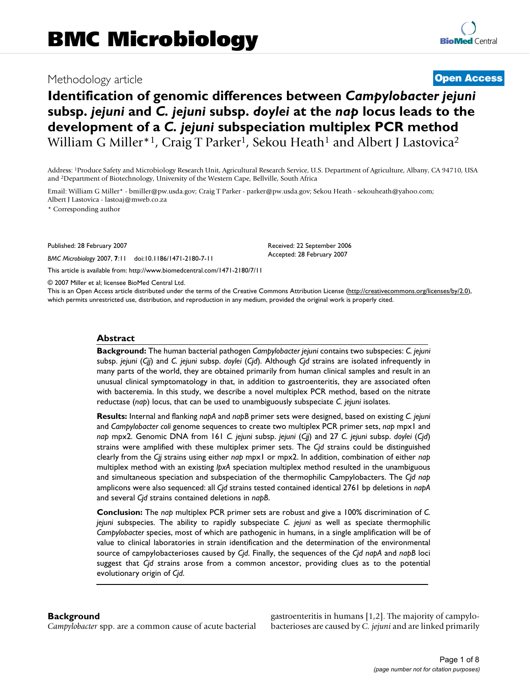## Methodology article **[Open Access](http://www.biomedcentral.com/info/about/charter/)**

# **Identification of genomic differences between** *Campylobacter jejuni*  **subsp.** *jejuni* **and** *C. jejuni* **subsp.** *doylei* **at the** *nap* **locus leads to the development of a** *C. jejuni* **subspeciation multiplex PCR method** William G Miller<sup>\*1</sup>, Craig T Parker<sup>1</sup>, Sekou Heath<sup>1</sup> and Albert J Lastovica<sup>2</sup>

Address: 1Produce Safety and Microbiology Research Unit, Agricultural Research Service, U.S. Department of Agriculture, Albany, CA 94710, USA and 2Department of Biotechnology, University of the Western Cape, Bellville, South Africa

Email: William G Miller\* - bmiller@pw.usda.gov; Craig T Parker - parker@pw.usda.gov; Sekou Heath - sekouheath@yahoo.com; Albert J Lastovica - lastoaj@mweb.co.za

\* Corresponding author

Published: 28 February 2007

*BMC Microbiology* 2007, **7**:11 doi:10.1186/1471-2180-7-11

[This article is available from: http://www.biomedcentral.com/1471-2180/7/11](http://www.biomedcentral.com/1471-2180/7/11)

© 2007 Miller et al; licensee BioMed Central Ltd.

This is an Open Access article distributed under the terms of the Creative Commons Attribution License [\(http://creativecommons.org/licenses/by/2.0\)](http://creativecommons.org/licenses/by/2.0), which permits unrestricted use, distribution, and reproduction in any medium, provided the original work is properly cited.

Received: 22 September 2006 Accepted: 28 February 2007

#### **Abstract**

**Background:** The human bacterial pathogen *Campylobacter jejuni* contains two subspecies: *C. jejuni* subsp. *jejuni* (*Cjj*) and *C. jejuni* subsp. *doylei* (*Cjd*). Although *Cjd* strains are isolated infrequently in many parts of the world, they are obtained primarily from human clinical samples and result in an unusual clinical symptomatology in that, in addition to gastroenteritis, they are associated often with bacteremia. In this study, we describe a novel multiplex PCR method, based on the nitrate reductase (*nap*) locus, that can be used to unambiguously subspeciate *C. jejuni* isolates.

**Results:** Internal and flanking *napA* and *napB* primer sets were designed, based on existing *C. jejuni* and *Campylobacter coli* genome sequences to create two multiplex PCR primer sets, *nap* mpx1 and *nap* mpx2. Genomic DNA from 161 *C. jejuni* subsp. *jejuni* (*Cjj*) and 27 *C. jejuni* subsp. *doylei* (*Cjd*) strains were amplified with these multiplex primer sets. The *Cjd* strains could be distinguished clearly from the *Cjj* strains using either *nap* mpx1 or mpx2. In addition, combination of either *nap* multiplex method with an existing *lpxA* speciation multiplex method resulted in the unambiguous and simultaneous speciation and subspeciation of the thermophilic Campylobacters. The *Cjd nap* amplicons were also sequenced: all *Cjd* strains tested contained identical 2761 bp deletions in *napA* and several *Cjd* strains contained deletions in *napB*.

**Conclusion:** The *nap* multiplex PCR primer sets are robust and give a 100% discrimination of *C. jejuni* subspecies. The ability to rapidly subspeciate *C. jejuni* as well as speciate thermophilic *Campylobacter* species, most of which are pathogenic in humans, in a single amplification will be of value to clinical laboratories in strain identification and the determination of the environmental source of campylobacterioses caused by *Cjd*. Finally, the sequences of the *Cjd napA* and *napB* loci suggest that *Cjd* strains arose from a common ancestor, providing clues as to the potential evolutionary origin of *Cjd*.

#### **Background**

*Campylobacter* spp. are a common cause of acute bacterial

gastroenteritis in humans [1,2]. The majority of campylobacterioses are caused by *C. jejuni* and are linked primarily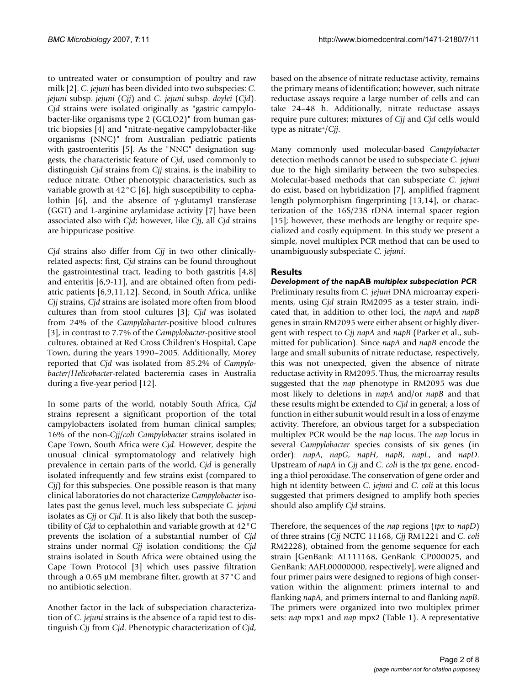to untreated water or consumption of poultry and raw milk [2]. *C. jejuni* has been divided into two subspecies: *C. jejuni* subsp. *jejuni* (*Cjj*) and *C. jejuni* subsp. *doylei* (*Cjd*). *Cjd* strains were isolated originally as "gastric campylobacter-like organisms type 2 (GCLO2)" from human gastric biopsies [4] and "nitrate-negative campylobacter-like organisms (NNC)" from Australian pediatric patients with gastroenteritis [5]. As the "NNC" designation suggests, the characteristic feature of *Cjd*, used commonly to distinguish *Cjd* strains from *Cjj* strains, is the inability to reduce nitrate. Other phenotypic characteristics, such as variable growth at 42°C [6], high susceptibility to cephalothin [6], and the absence of γ-glutamyl transferase (GGT) and L-arginine arylamidase activity [7] have been associated also with *Cjd*; however, like *Cjj*, all *Cjd* strains are hippuricase positive.

*Cjd* strains also differ from *Cjj* in two other clinicallyrelated aspects: first, *Cjd* strains can be found throughout the gastrointestinal tract, leading to both gastritis [4,8] and enteritis [6[,9-](#page-7-0)11], and are obtained often from pediatric patients [6,[9](#page-7-0),11,12]. Second, in South Africa, unlike *Cjj* strains, *Cjd* strains are isolated more often from blood cultures than from stool cultures [3]; *Cjd* was isolated from 24% of the *Campylobacter*-positive blood cultures [3], in contrast to 7.7% of the *Campylobacter*-positive stool cultures, obtained at Red Cross Children's Hospital, Cape Town, during the years 1990–2005. Additionally, Morey reported that *Cjd* was isolated from 85.2% of *Campylobacter*/*Helicobacter*-related bacteremia cases in Australia during a five-year period [12].

In some parts of the world, notably South Africa, *Cjd* strains represent a significant proportion of the total campylobacters isolated from human clinical samples; 16% of the non-*Cjj*/*coli Campylobacter* strains isolated in Cape Town, South Africa were *Cjd*. However, despite the unusual clinical symptomatology and relatively high prevalence in certain parts of the world, *Cjd* is generally isolated infrequently and few strains exist (compared to *Cjj*) for this subspecies. One possible reason is that many clinical laboratories do not characterize *Campylobacter* isolates past the genus level, much less subspeciate *C. jejuni* isolates as *Cjj* or *Cjd*. It is also likely that both the susceptibility of *Cjd* to cephalothin and variable growth at 42°C prevents the isolation of a substantial number of *Cjd* strains under normal *Cjj* isolation conditions; the *Cjd* strains isolated in South Africa were obtained using the Cape Town Protocol [3] which uses passive filtration through a 0.65 μM membrane filter, growth at 37°C and no antibiotic selection.

Another factor in the lack of subspeciation characterization of *C. jejuni* strains is the absence of a rapid test to distinguish *Cjj* from *Cjd*. Phenotypic characterization of *Cjd*,

based on the absence of nitrate reductase activity, remains the primary means of identification; however, such nitrate reductase assays require a large number of cells and can take 24–48 h. Additionally, nitrate reductase assays require pure cultures; mixtures of *Cjj* and *Cjd* cells would type as nitrate+/*Cjj*.

Many commonly used molecular-based *Campylobacter* detection methods cannot be used to subspeciate *C. jejuni* due to the high similarity between the two subspecies. Molecular-based methods that can subspeciate *C. jejuni* do exist, based on hybridization [7], amplified fragment length polymorphism fingerprinting [[13,](#page-7-1)14], or characterization of the 16S/23S rDNA internal spacer region [[15](#page-7-2)]; however, these methods are lengthy or require specialized and costly equipment. In this study we present a simple, novel multiplex PCR method that can be used to unambiguously subspeciate *C. jejuni*.

## **Results**

## *Development of the* **napAB** *multiplex subspeciation PCR*

Preliminary results from *C. jejuni* DNA microarray experiments, using *Cjd* strain RM2095 as a tester strain, indicated that, in addition to other loci, the *napA* and *napB* genes in strain RM2095 were either absent or highly divergent with respect to *Cjj napA* and *napB* (Parker et al., submitted for publication). Since *napA* and *napB* encode the large and small subunits of nitrate reductase, respectively, this was not unexpected, given the absence of nitrate reductase activity in RM2095. Thus, the microarray results suggested that the *nap* phenotype in RM2095 was due most likely to deletions in *napA* and/or *napB* and that these results might be extended to *Cjd* in general; a loss of function in either subunit would result in a loss of enzyme activity. Therefore, an obvious target for a subspeciation multiplex PCR would be the *nap* locus. The *nap* locus in several *Campylobacter* species consists of six genes (in order): *napA*, *napG*, *napH*, *napB*, *napL*, and *napD*. Upstream of *napA* in *Cjj* and *C. coli* is the *tpx* gene, encoding a thiol peroxidase. The conservation of gene order and high nt identity between *C. jejuni* and *C. coli* at this locus suggested that primers designed to amplify both species should also amplify *Cjd* strains.

Therefore, the sequences of the *nap* regions (*tpx* to *napD*) of three strains (*Cjj* NCTC 11168, *Cjj* RM1221 and *C. coli* RM2228), obtained from the genome sequence for each strain [GenBank: [AL111168,](http://www.ncbi.nih.gov/entrez/query.fcgi?db=Nucleotide&cmd=search&term=AL111168) GenBank: [CP000025](http://www.ncbi.nih.gov/entrez/query.fcgi?db=Nucleotide&cmd=search&term=CP000025), and GenBank: [AAFL00000000,](http://www.ncbi.nih.gov/entrez/query.fcgi?db=Nucleotide&cmd=search&term=AAFL00000000) respectively], were aligned and four primer pairs were designed to regions of high conservation within the alignment: primers internal to and flanking *napA*, and primers internal to and flanking *napB*. The primers were organized into two multiplex primer sets: *nap* mpx1 and *nap* mpx2 (Table 1). A representative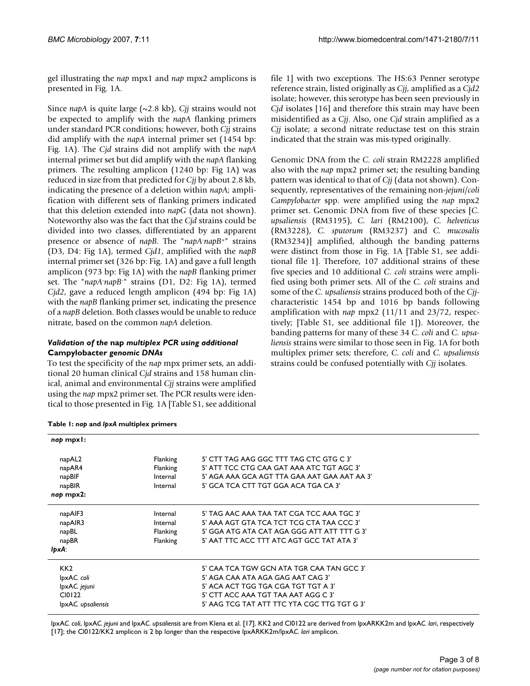gel illustrating the *nap* mpx1 and *nap* mpx2 amplicons is presented in Fig. 1A.

Since *napA* is quite large (~2.8 kb), *Cjj* strains would not be expected to amplify with the *napA* flanking primers under standard PCR conditions; however, both *Cjj* strains did amplify with the *napA* internal primer set (1454 bp: Fig. 1A). The *Cjd* strains did not amplify with the *napA* internal primer set but did amplify with the *napA* flanking primers. The resulting amplicon (1240 bp: Fig 1A) was reduced in size from that predicted for *Cjj* by about 2.8 kb, indicating the presence of a deletion within *napA*; amplification with different sets of flanking primers indicated that this deletion extended into *napG* (data not shown). Noteworthy also was the fact that the *Cjd* strains could be divided into two classes, differentiated by an apparent presence or absence of *napB*. The "*napA-napB+*" strains (D3, D4: Fig 1A), termed *Cjd1*, amplified with the *napB* internal primer set (326 bp: Fig. 1A) and gave a full length amplicon (973 bp: Fig 1A) with the *napB* flanking primer set. The "napA<sup>-</sup>napB<sup>-</sup>" strains (D1, D2: Fig 1A), termed *Cjd2*, gave a reduced length amplicon (494 bp: Fig 1A) with the *napB* flanking primer set, indicating the presence of a *napB* deletion. Both classes would be unable to reduce nitrate, based on the common *napA* deletion.

## *Validation of the* **nap** *multiplex PCR using additional*  **Campylobacter** *genomic DNAs*

To test the specificity of the *nap* mpx primer sets, an additional 20 human clinical *Cjd* strains and 158 human clinical, animal and environmental *Cjj* strains were amplified using the *nap* mpx2 primer set. The PCR results were identical to those presented in Fig. 1A [Table S1, see additional

file 1] with two exceptions. The HS:63 Penner serotype reference strain, listed originally as *Cjj*, amplified as a *Cjd2* isolate; however, this serotype has been seen previously in *Cjd* isolates [16] and therefore this strain may have been misidentified as a *Cjj*. Also, one *Cjd* strain amplified as a *Cjj* isolate; a second nitrate reductase test on this strain indicated that the strain was mis-typed originally.

Genomic DNA from the *C. coli* strain RM2228 amplified also with the *nap* mpx2 primer set; the resulting banding pattern was identical to that of *Cjj* (data not shown). Consequently, representatives of the remaining non-*jejuni*/*coli Campylobacter* spp. were amplified using the *nap* mpx2 primer set. Genomic DNA from five of these species [*C. upsaliensis* (RM3195), *C. lari* (RM2100), *C. helveticus* (RM3228), *C. sputorum* (RM3237) and *C. mucosalis* (RM3234)] amplified, although the banding patterns were distinct from those in Fig. 1A [Table S1, see additional file 1]. Therefore, 107 additional strains of these five species and 10 additional *C. coli* strains were amplified using both primer sets. All of the *C. coli* strains and some of the *C. upsaliensis* strains produced both of the *Cjj*characteristic 1454 bp and 1016 bp bands following amplification with *nap* mpx2 (11/11 and 23/72, respectively; [Table S1, see additional file 1]). Moreover, the banding patterns for many of these 34 *C. coli* and *C. upsaliensis* strains were similar to those seen in Fig. 1A for both multiplex primer sets; therefore, *C. coli* and *C. upsaliensis* strains could be confused potentially with *Cjj* isolates.

| nap mpxl:          |                 |                                              |  |
|--------------------|-----------------|----------------------------------------------|--|
| napAL2             | Flanking        | 5' CTT TAG AAG GGC TTT TAG CTC GTG C 3'      |  |
| napAR4             | Flanking        | 5' ATT TCC CTG CAA GAT AAA ATC TGT AGC 3'    |  |
| napBIF             | Internal        | 5' AGA AAA GCA AGT TTA GAA AAT GAA AAT AA 3' |  |
| napBIR             | Internal        | 5' GCA TCA CTT TGT GGA ACA TGA CA 3'         |  |
| nap mpx2:          |                 |                                              |  |
| napAIF3            | Internal        | 5' TAG AAC AAA TAA TAT CGA TCC AAA TGC 3'    |  |
| napAIR3            | Internal        | 5' AAA AGT GTA TCA TCT TCG CTA TAA CCC 3'    |  |
| napBL              | Flanking        | 5' GGA ATG ATA CAT AGA GGG ATT ATT TTT G 3'  |  |
| napBR              | <b>Flanking</b> | 5' AAT TTC ACC TTT ATC AGT GCC TAT ATA 3'    |  |
| lpxA:              |                 |                                              |  |
| KK <sub>2</sub>    |                 | 5' CAA TCA TGW GCN ATA TGR CAA TAN GCC 3'    |  |
| IpxAC. coli        |                 | 5' AGA CAA ATA AGA GAG AAT CAG 3'            |  |
| IpxAC. jejuni      |                 | 5' ACA ACT TGG TGA CGA TGT TGT A 3'          |  |
| C10122             |                 | 5' CTT ACC AAA TGT TAA AAT AGG C 3'          |  |
| lpxAC. upsaliensis |                 | 5' AAG TCG TAT ATT TTC YTA CGC TTG TGT G 3'  |  |

**Table 1:** *nap* **and** *lpxA* **multiplex primers**

lpxA*C. coli*, lpxA*C. jejuni* and lpxA*C. upsaliensis* are from Klena et al. [17]. KK2 and Cl0122 are derived from lpxARKK2m and lpxA*C. lari*, respectively [17]; the Cl0122/KK2 amplicon is 2 bp longer than the respective lpxARKK2m/lpxA*C. lari* amplicon.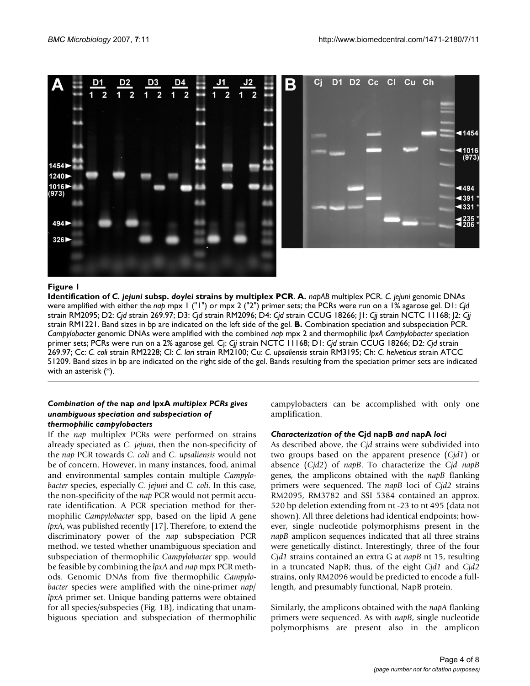

#### **Figure 1**

**Identification of** *C. jejuni* **subsp.** *doylei* **strains by multiplex PCR**. **A.** *napAB* multiplex PCR. *C. jejuni* genomic DNAs were amplified with either the *nap* mpx 1 ("1") or mpx 2 ("2") primer sets; the PCRs were run on a 1% agarose gel. D1: *Cjd*  strain RM2095; D2: *Cjd* strain 269.97; D3: *Cjd* strain RM2096; D4: *Cjd* strain CCUG 18266; J1: *Cjj* strain NCTC 11168; J2: *Cjj*  strain RM1221. Band sizes in bp are indicated on the left side of the gel. **B.** Combination speciation and subspeciation PCR. *Campylobacter* genomic DNAs were amplified with the combined *nap* mpx 2 and thermophilic *lpxA Campylobacter* speciation primer sets; PCRs were run on a 2% agarose gel. Cj: *Cjj* strain NCTC 11168; D1: *Cjd* strain CCUG 18266; D2: *Cjd* strain 269.97; Cc: *C. coli* strain RM2228; Cl: *C. lari* strain RM2100; Cu: *C. upsaliensis* strain RM3195; Ch: *C. helveticus* strain ATCC 51209. Band sizes in bp are indicated on the right side of the gel. Bands resulting from the speciation primer sets are indicated with an asterisk (\*).

#### *Combination of the* **nap** *and* **lpxA** *multiplex PCRs gives unambiguous speciation and subspeciation of thermophilic campylobacters*

If the *nap* multiplex PCRs were performed on strains already speciated as *C. jejuni*, then the non-specificity of the *nap* PCR towards *C. coli* and *C. upsaliensis* would not be of concern. However, in many instances, food, animal and environmental samples contain multiple *Campylobacter* species, especially *C. jejuni* and *C. coli*. In this case, the non-specificity of the *nap* PCR would not permit accurate identification. A PCR speciation method for thermophilic *Campylobacter* spp, based on the lipid A gene *lpxA*, was published recently [17]. Therefore, to extend the discriminatory power of the *nap* subspeciation PCR method, we tested whether unambiguous speciation and subspeciation of thermophilic *Campylobacter* spp. would be feasible by combining the *lpxA* and *nap* mpx PCR methods. Genomic DNAs from five thermophilic *Campylobacter* species were amplified with the nine-primer *nap*/ *lpxA* primer set. Unique banding patterns were obtained for all species/subspecies (Fig. 1B), indicating that unambiguous speciation and subspeciation of thermophilic campylobacters can be accomplished with only one amplification.

## *Characterization of the* **Cjd napB** *and* **napA** *loci*

As described above, the *Cjd* strains were subdivided into two groups based on the apparent presence (*Cjd1*) or absence (*Cjd2*) of *napB*. To characterize the *Cjd napB* genes, the amplicons obtained with the *napB* flanking primers were sequenced. The *napB* loci of *Cjd2* strains RM2095, RM3782 and SSI 5384 contained an approx. 520 bp deletion extending from nt -23 to nt 495 (data not shown). All three deletions had identical endpoints; however, single nucleotide polymorphisms present in the *napB* amplicon sequences indicated that all three strains were genetically distinct. Interestingly, three of the four *Cjd1* strains contained an extra G at *napB* nt 15, resulting in a truncated NapB; thus, of the eight *Cjd1* and *Cjd2* strains, only RM2096 would be predicted to encode a fulllength, and presumably functional, NapB protein.

Similarly, the amplicons obtained with the *napA* flanking primers were sequenced. As with *napB*, single nucleotide polymorphisms are present also in the amplicon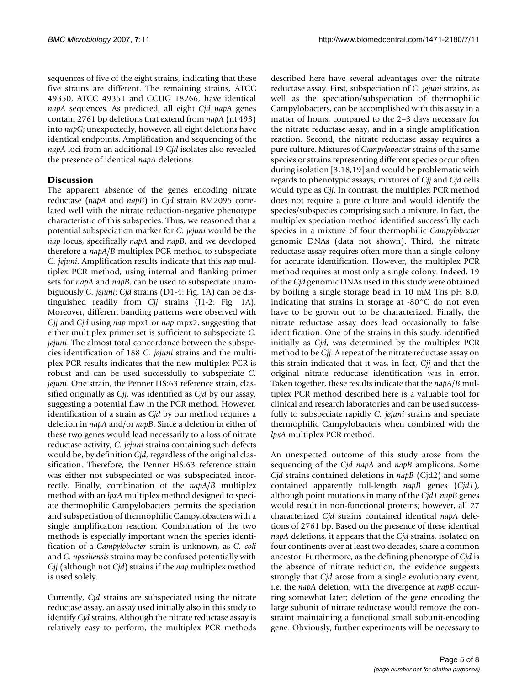sequences of five of the eight strains, indicating that these five strains are different. The remaining strains, ATCC 49350, ATCC 49351 and CCUG 18266, have identical *napA* sequences. As predicted, all eight *Cjd napA* genes contain 2761 bp deletions that extend from *napA* (nt 493) into *napG*; unexpectedly, however, all eight deletions have identical endpoints. Amplification and sequencing of the *napA* loci from an additional 19 *Cjd* isolates also revealed the presence of identical *napA* deletions.

## **Discussion**

The apparent absence of the genes encoding nitrate reductase (*napA* and *napB*) in *Cjd* strain RM2095 correlated well with the nitrate reduction-negative phenotype characteristic of this subspecies. Thus, we reasoned that a potential subspeciation marker for *C. jejuni* would be the *nap* locus, specifically *napA* and *napB*, and we developed therefore a *napA*/*B* multiplex PCR method to subspeciate *C. jejuni*. Amplification results indicate that this *nap* multiplex PCR method, using internal and flanking primer sets for *napA* and *napB*, can be used to subspeciate unambiguously *C. jejuni*: *Cjd* strains (D1-4: Fig. 1A) can be distinguished readily from *Cjj* strains (J1-2: Fig. 1A). Moreover, different banding patterns were observed with *Cjj* and *Cjd* using *nap* mpx1 or *nap* mpx2, suggesting that either multiplex primer set is sufficient to subspeciate *C. jejuni*. The almost total concordance between the subspecies identification of 188 *C. jejuni* strains and the multiplex PCR results indicates that the new multiplex PCR is robust and can be used successfully to subspeciate *C. jejuni*. One strain, the Penner HS:63 reference strain, classified originally as *Cjj*, was identified as *Cjd* by our assay, suggesting a potential flaw in the PCR method. However, identification of a strain as *Cjd* by our method requires a deletion in *napA* and/or *napB*. Since a deletion in either of these two genes would lead necessarily to a loss of nitrate reductase activity, *C. jejuni* strains containing such defects would be, by definition *Cjd*, regardless of the original classification. Therefore, the Penner HS:63 reference strain was either not subspeciated or was subspeciated incorrectly. Finally, combination of the *napA*/*B* multiplex method with an *lpxA* multiplex method designed to speciate thermophilic Campylobacters permits the speciation and subspeciation of thermophilic Campylobacters with a single amplification reaction. Combination of the two methods is especially important when the species identification of a *Campylobacter* strain is unknown, as *C. coli* and *C. upsaliensis* strains may be confused potentially with *Cjj* (although not *Cjd*) strains if the *nap* multiplex method is used solely.

Currently, *Cjd* strains are subspeciated using the nitrate reductase assay, an assay used initially also in this study to identify *Cjd* strains. Although the nitrate reductase assay is relatively easy to perform, the multiplex PCR methods described here have several advantages over the nitrate reductase assay. First, subspeciation of *C. jejuni* strains, as well as the speciation/subspeciation of thermophilic Campylobacters, can be accomplished with this assay in a matter of hours, compared to the 2–3 days necessary for the nitrate reductase assay, and in a single amplification reaction. Second, the nitrate reductase assay requires a pure culture. Mixtures of *Campylobacter* strains of the same species or strains representing different species occur often during isolation [3,18,19] and would be problematic with regards to phenotypic assays; mixtures of *Cjj* and *Cjd* cells would type as *Cjj*. In contrast, the multiplex PCR method does not require a pure culture and would identify the species/subspecies comprising such a mixture. In fact, the multiplex speciation method identified successfully each species in a mixture of four thermophilic *Campylobacter* genomic DNAs (data not shown). Third, the nitrate reductase assay requires often more than a single colony for accurate identification. However, the multiplex PCR method requires at most only a single colony. Indeed, 19 of the *Cjd* genomic DNAs used in this study were obtained by boiling a single storage bead in 10 mM Tris pH 8.0, indicating that strains in storage at -80°C do not even have to be grown out to be characterized. Finally, the nitrate reductase assay does lead occasionally to false identification. One of the strains in this study, identified initially as *Cjd*, was determined by the multiplex PCR method to be *Cjj*. A repeat of the nitrate reductase assay on this strain indicated that it was, in fact, *Cjj* and that the original nitrate reductase identification was in error. Taken together, these results indicate that the *napA*/*B* multiplex PCR method described here is a valuable tool for clinical and research laboratories and can be used successfully to subspeciate rapidly *C. jejuni* strains and speciate thermophilic Campylobacters when combined with the *lpxA* multiplex PCR method.

An unexpected outcome of this study arose from the sequencing of the *Cjd napA* and *napB* amplicons. Some *Cjd* strains contained deletions in *napB* (Cjd2) and some contained apparently full-length *napB* genes (*Cjd1*), although point mutations in many of the *Cjd1 napB* genes would result in non-functional proteins; however, all 27 characterized *Cjd* strains contained identical *napA* deletions of 2761 bp. Based on the presence of these identical *napA* deletions, it appears that the *Cjd* strains, isolated on four continents over at least two decades, share a common ancestor. Furthermore, as the defining phenotype of *Cjd* is the absence of nitrate reduction, the evidence suggests strongly that *Cjd* arose from a single evolutionary event, i.e. the *napA* deletion, with the divergence at *napB* occurring somewhat later; deletion of the gene encoding the large subunit of nitrate reductase would remove the constraint maintaining a functional small subunit-encoding gene. Obviously, further experiments will be necessary to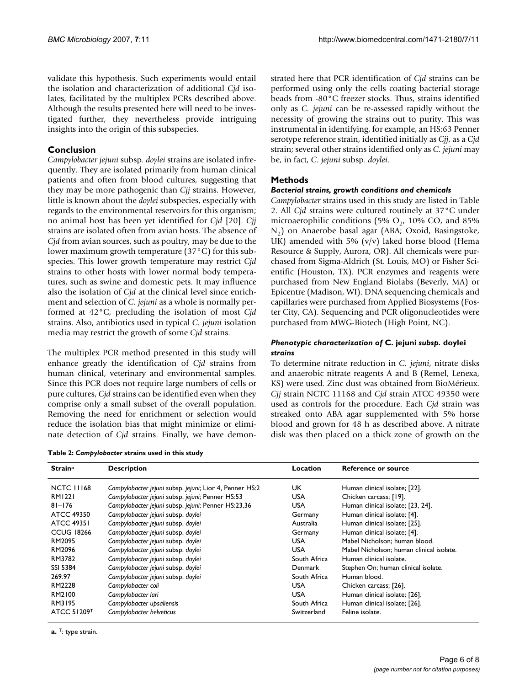validate this hypothesis. Such experiments would entail the isolation and characterization of additional *Cjd* isolates, facilitated by the multiplex PCRs described above. Although the results presented here will need to be investigated further, they nevertheless provide intriguing insights into the origin of this subspecies.

## **Conclusion**

*Campylobacter jejuni* subsp. *doylei* strains are isolated infrequently. They are isolated primarily from human clinical patients and often from blood cultures, suggesting that they may be more pathogenic than *Cjj* strains. However, little is known about the *doylei* subspecies, especially with regards to the environmental reservoirs for this organism; no animal host has been yet identified for *Cjd* [20]. *Cjj* strains are isolated often from avian hosts. The absence of *Cjd* from avian sources, such as poultry, may be due to the lower maximum growth temperature (37°C) for this subspecies. This lower growth temperature may restrict *Cjd* strains to other hosts with lower normal body temperatures, such as swine and domestic pets. It may influence also the isolation of *Cjd* at the clinical level since enrichment and selection of *C. jejuni* as a whole is normally performed at 42°C, precluding the isolation of most *Cjd* strains. Also, antibiotics used in typical *C. jejuni* isolation media may restrict the growth of some *Cjd* strains.

The multiplex PCR method presented in this study will enhance greatly the identification of *Cjd* strains from human clinical, veterinary and environmental samples. Since this PCR does not require large numbers of cells or pure cultures, *Cjd* strains can be identified even when they comprise only a small subset of the overall population. Removing the need for enrichment or selection would reduce the isolation bias that might minimize or eliminate detection of *Cjd* strains. Finally, we have demon-

**Table 2:** *Campylobacter* **strains used in this study**

strated here that PCR identification of *Cjd* strains can be performed using only the cells coating bacterial storage beads from -80°C freezer stocks. Thus, strains identified only as *C. jejuni* can be re-assessed rapidly without the necessity of growing the strains out to purity. This was instrumental in identifying, for example, an HS:63 Penner serotype reference strain, identified initially as *Cjj*, as a *Cjd* strain; several other strains identified only as *C. jejuni* may be, in fact, *C. jejuni* subsp. *doylei*.

## **Methods**

## *Bacterial strains, growth conditions and chemicals*

*Campylobacter* strains used in this study are listed in Table 2. All *Cjd* strains were cultured routinely at 37°C under microaerophilic conditions (5%  $O_2$ , 10% CO, and 85% N<sub>2</sub>) on Anaerobe basal agar (ABA; Oxoid, Basingstoke, UK) amended with 5%  $(v/v)$  laked horse blood (Hema Resource & Supply, Aurora, OR). All chemicals were purchased from Sigma-Aldrich (St. Louis, MO) or Fisher Scientific (Houston, TX). PCR enzymes and reagents were purchased from New England Biolabs (Beverly, MA) or Epicentre (Madison, WI). DNA sequencing chemicals and capillaries were purchased from Applied Biosystems (Foster City, CA). Sequencing and PCR oligonucleotides were purchased from MWG-Biotech (High Point, NC).

#### *Phenotypic characterization of* **C. jejuni** *subsp.* **doylei** *strains*

To determine nitrate reduction in *C. jejuni*, nitrate disks and anaerobic nitrate reagents A and B (Remel, Lenexa, KS) were used. Zinc dust was obtained from BioMérieux. *Cjj* strain NCTC 11168 and *Cjd* strain ATCC 49350 were used as controls for the procedure. Each *Cjd* strain was streaked onto ABA agar supplemented with 5% horse blood and grown for 48 h as described above. A nitrate disk was then placed on a thick zone of growth on the

| <b>Straina</b>     | <b>Description</b>                                      | Location     | Reference or source                      |
|--------------------|---------------------------------------------------------|--------------|------------------------------------------|
| <b>NCTC 11168</b>  | Campylobacter jejuni subsp. jejuni; Lior 4, Penner HS:2 | UK.          | Human clinical isolate; [22].            |
| <b>RM1221</b>      | Campylobacter jejuni subsp. jejuni; Penner HS:53        | <b>USA</b>   | Chicken carcass; [19].                   |
| $81 - 176$         | Campylobacter jejuni subsp. jejuni; Penner HS:23,36     | <b>USA</b>   | Human clinical isolate; [23, 24].        |
| <b>ATCC 49350</b>  | Campylobacter jejuni subsp. doylei                      | Germany      | Human clinical isolate; [4].             |
| <b>ATCC 49351</b>  | Campylobacter jejuni subsp. doylei                      | Australia    | Human clinical isolate; [25].            |
| <b>CCUG 18266</b>  | Campylobacter jejuni subsp. doylei                      | Germany      | Human clinical isolate; [4].             |
| RM2095             | Campylobacter jejuni subsp. doylei                      | <b>USA</b>   | Mabel Nicholson: human blood.            |
| RM2096             | Campylobacter jejuni subsp. doylei                      | <b>USA</b>   | Mabel Nicholson; human clinical isolate. |
| RM3782             | Campylobacter jejuni subsp. doylei                      | South Africa | Human clinical isolate.                  |
| SSI 5384           | Campylobacter jejuni subsp. doylei                      | Denmark      | Stephen On; human clinical isolate.      |
| 269.97             | Campylobacter jejuni subsp. doylei                      | South Africa | Human blood.                             |
| RM2228             | Campylobacter coli                                      | <b>USA</b>   | Chicken carcass; [26].                   |
| RM2100             | Campylobacter lari                                      | <b>USA</b>   | Human clinical isolate; [26].            |
| RM3195             | Campylobacter upsaliensis                               | South Africa | Human clinical isolate; [26].            |
| <b>ATCC 51209T</b> | Campylobacter helveticus                                | Switzerland  | Feline isolate.                          |

**a.** T: type strain.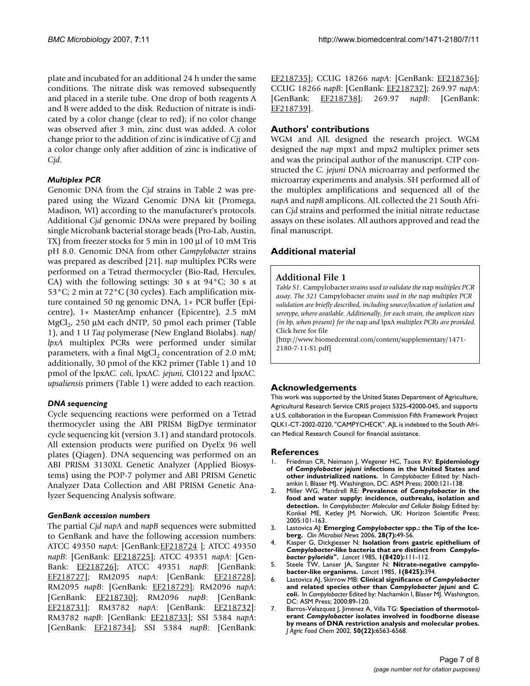plate and incubated for an additional 24 h under the same conditions. The nitrate disk was removed subsequently and placed in a sterile tube. One drop of both reagents A and B were added to the disk. Reduction of nitrate is indicated by a color change (clear to red); if no color change was observed after 3 min, zinc dust was added. A color change prior to the addition of zinc is indicative of *Cjj* and a color change only after addition of zinc is indicative of *Cjd*.

## *Multiplex PCR*

Genomic DNA from the *Cjd* strains in Table 2 was prepared using the Wizard Genomic DNA kit (Promega, Madison, WI) according to the manufacturer's protocols. Additional *Cjd* genomic DNAs were prepared by boiling single Microbank bacterial storage beads (Pro-Lab, Austin, TX) from freezer stocks for 5 min in 100 μl of 10 mM Tris pH 8.0. Genomic DNA from other *Campylobacter* strains was prepared as described [21]. *nap* multiplex PCRs were performed on a Tetrad thermocycler (Bio-Rad, Hercules, CA) with the following settings: 30 s at  $94^{\circ}$ C; 30 s at 53°C; 2 min at 72°C (30 cycles). Each amplification mixture contained 50 ng genomic DNA, 1× PCR buffer (Epicentre), 1× MasterAmp enhancer (Epicentre), 2.5 mM MgCl<sub>2</sub>, 250 μM each dNTP, 50 pmol each primer (Table 1), and 1 U *Taq* polymerase (New England Biolabs). *nap*/ *lpxA* multiplex PCRs were performed under similar parameters, with a final MgCl<sub>2</sub> concentration of  $2.0 \text{ mM}$ ; additionally, 30 pmol of the KK2 primer (Table 1) and 10 pmol of the lpxA*C. coli*, lpxA*C. jejuni*, Cl0122 and lpxA*C. upsaliensis* primers (Table 1) were added to each reaction.

#### *DNA sequencing*

Cycle sequencing reactions were performed on a Tetrad thermocycler using the ABI PRISM BigDye terminator cycle sequencing kit (version 3.1) and standard protocols. All extension products were purified on DyeEx 96 well plates (Qiagen). DNA sequencing was performed on an ABI PRISM 3130XL Genetic Analyzer (Applied Biosystems) using the POP-7 polymer and ABI PRISM Genetic Analyzer Data Collection and ABI PRISM Genetic Analyzer Sequencing Analysis software.

#### *GenBank accession numbers*

The partial *Cjd napA* and *napB* sequences were submitted to GenBank and have the following accession numbers: ATCC 49350 *napA*: [GenBank[:EF218724](http://www.ncbi.nih.gov/entrez/query.fcgi?db=Nucleotide&cmd=search&term=EF218724) ]; ATCC 49350 *napB*: [GenBank: [EF218725](http://www.ncbi.nih.gov/entrez/query.fcgi?db=Nucleotide&cmd=search&term=EF218725)]; ATCC 49351 *napA*: [Gen-Bank: [EF218726\]](http://www.ncbi.nih.gov/entrez/query.fcgi?db=Nucleotide&cmd=search&term=EF218726); ATCC 49351 *napB*: [GenBank: [EF218727\]](http://www.ncbi.nih.gov/entrez/query.fcgi?db=Nucleotide&cmd=search&term=EF218727); RM2095 *napA*: [GenBank: [EF218728](http://www.ncbi.nih.gov/entrez/query.fcgi?db=Nucleotide&cmd=search&term=EF218728)]; RM2095 *napB*: [GenBank: [EF218729](http://www.ncbi.nih.gov/entrez/query.fcgi?db=Nucleotide&cmd=search&term=EF218729)]; RM2096 *napA*: [GenBank: [EF218730\]](http://www.ncbi.nih.gov/entrez/query.fcgi?db=Nucleotide&cmd=search&term=EF218730); RM2096 *napB*: [GenBank: [EF218731\]](http://www.ncbi.nih.gov/entrez/query.fcgi?db=Nucleotide&cmd=search&term=EF218731); RM3782 *napA*: [GenBank: [EF218732](http://www.ncbi.nih.gov/entrez/query.fcgi?db=Nucleotide&cmd=search&term=EF218732)]: RM3782 *napB*: [GenBank: [EF218733](http://www.ncbi.nih.gov/entrez/query.fcgi?db=Nucleotide&cmd=search&term=EF218733)]; SSI 5384 *napA*: [GenBank: [EF218734\]](http://www.ncbi.nih.gov/entrez/query.fcgi?db=Nucleotide&cmd=search&term=EF218734); SSI 5384 *napB*: [GenBank: [EF218735\]](http://www.ncbi.nih.gov/entrez/query.fcgi?db=Nucleotide&cmd=search&term=EF218735); CCUG 18266 *napA*: [GenBank: [EF218736](http://www.ncbi.nih.gov/entrez/query.fcgi?db=Nucleotide&cmd=search&term=EF218736)]; CCUG 18266 *napB*: [GenBank: [EF218737\]](http://www.ncbi.nih.gov/entrez/query.fcgi?db=Nucleotide&cmd=search&term=EF218737); 269.97 *napA*: [GenBank: [EF218738](http://www.ncbi.nih.gov/entrez/query.fcgi?db=Nucleotide&cmd=search&term=EF218738)]; 269.97 *napB*: [GenBank: [EF218739\]](http://www.ncbi.nih.gov/entrez/query.fcgi?db=Nucleotide&cmd=search&term=EF218739).

## **Authors' contributions**

WGM and AJL designed the research project. WGM designed the *nap* mpx1 and mpx2 multiplex primer sets and was the principal author of the manuscript. CTP constructed the *C. jejuni* DNA microarray and performed the microarray experiments and analysis. SH performed all of the multiplex amplifications and sequenced all of the *napA* and *napB* amplicons. AJL collected the 21 South African *Cjd* strains and performed the initial nitrate reductase assays on these isolates. All authors approved and read the final manuscript.

## **Additional material**

## **Additional File 1**

*Table S1.* Campylobacter *strains used to validate the* nap *multiplex PCR assay. The 321* Campylobacter *strains used in the* nap *multiplex PCR validation are briefly described, including source/location of isolation and serotype, where available. Additionally, for each strain, the amplicon sizes (in bp, when present) for the* nap *and* lpxA *multiplex PCRs are provided.* Click here for file

[\[http://www.biomedcentral.com/content/supplementary/1471-](http://www.biomedcentral.com/content/supplementary/1471-2180-7-11-S1.pdf) 2180-7-11-S1.pdf]

## **Acknowledgements**

This work was supported by the United States Department of Agriculture, Agricultural Research Service CRIS project 5325-42000-045, and supports a U.S. collaboration in the European Commission Fifth Framework Project QLK1-CT-2002-0220, "CAMPYCHECK". AJL is indebted to the South African Medical Research Council for financial assistance.

#### **References**

- 1. Friedman CR, Neimann J, Wegener HC, Tauxe RV: **Epidemiology of** *Campylobacter jejuni* **infections in the United States and other industrialized nations.** In *Campylobacter* Edited by: Nachamkin I, Blaser MJ. Washington, DC: ASM Press; 2000:121-138.
- 2. Miller WG, Mandrell RE: **Prevalence of** *Campylobacter* **in the food and water supply: incidence, outbreaks, isolation and detection.** In *Campylobacter: Molecular and Cellular Biology* Edited by: Konkel ME, Ketley JM. Norwich, UK: Horizon Scientific Press; 2005:101-163.
- 3. Lastovica AJ: **Emerging** *Campylobacter* **spp.: the Tip of the Iceberg.** *Clin Microbiol News* 2006, **28(7):**49-56.
- 4. Kasper G, Dickgiesser N: **Isolation from gastric epithelium of** *Campylobacter***-like bacteria that are distinct from** *Campylobacter pyloridis***[".](http://www.ncbi.nlm.nih.gov/entrez/query.fcgi?cmd=Retrieve&db=PubMed&dopt=Abstract&list_uids=2857011)** *Lancet* 1985, **1(8420):**111-112.
- 5. Steele TW, Lanser JA, Sangster N: **[Nitrate-negative campylo](http://www.ncbi.nlm.nih.gov/entrez/query.fcgi?cmd=Retrieve&db=PubMed&dopt=Abstract&list_uids=2857441)[bacter-like organisms.](http://www.ncbi.nlm.nih.gov/entrez/query.fcgi?cmd=Retrieve&db=PubMed&dopt=Abstract&list_uids=2857441)** *Lancet* 1985, **1(8425):**394.
- 6. Lastovica AJ, Skirrow MB: **Clinical significance of** *Campylobacter* **and related species other than** *Campylobacter jejuni* **and** *C. coli***.** In *Campylobacter* Edited by: Nachamkin I, Blaser MJ. Washington, DC: ASM Press; 2000:89-120.
- 7. Barros-Velazquez J, Jimenez A, Villa TG: **Speciation of thermotolerant** *Campylobacter* **[isolates involved in foodborne disease](http://www.ncbi.nlm.nih.gov/entrez/query.fcgi?cmd=Retrieve&db=PubMed&dopt=Abstract&list_uids=12381150) [by means of DNA restriction analysis and molecular probes.](http://www.ncbi.nlm.nih.gov/entrez/query.fcgi?cmd=Retrieve&db=PubMed&dopt=Abstract&list_uids=12381150)** *J Agric Food Chem* 2002, **50(22):**6563-6568.